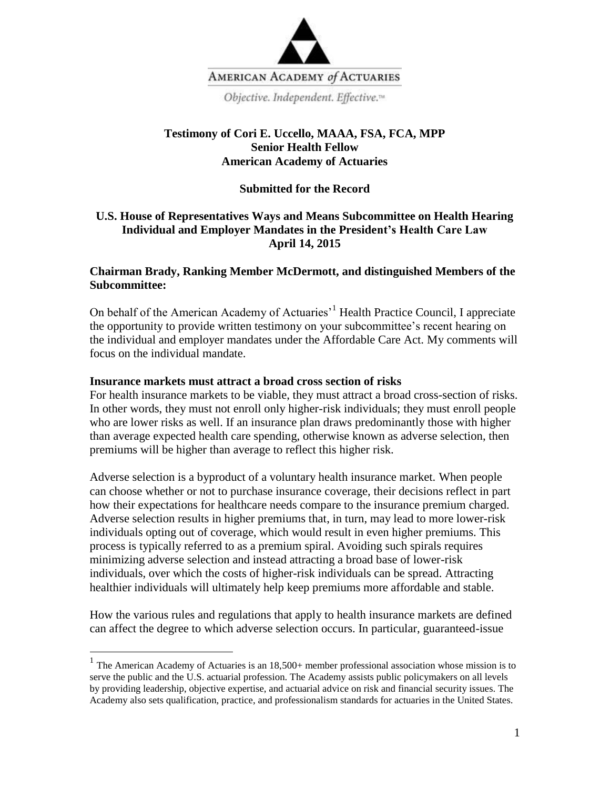

Objective. Independent. Effective.<sup>14</sup>

# **Testimony of Cori E. Uccello, MAAA, FSA, FCA, MPP Senior Health Fellow American Academy of Actuaries**

### **Submitted for the Record**

# **U.S. House of Representatives Ways and Means Subcommittee on Health Hearing Individual and Employer Mandates in the President's Health Care Law April 14, 2015**

### **Chairman Brady, Ranking Member McDermott, and distinguished Members of the Subcommittee:**

On behalf of the American Academy of Actuaries<sup>1</sup> Health Practice Council, I appreciate the opportunity to provide written testimony on your subcommittee's recent hearing on the individual and employer mandates under the Affordable Care Act. My comments will focus on the individual mandate.

#### **Insurance markets must attract a broad cross section of risks**

For health insurance markets to be viable, they must attract a broad cross-section of risks. In other words, they must not enroll only higher-risk individuals; they must enroll people who are lower risks as well. If an insurance plan draws predominantly those with higher than average expected health care spending, otherwise known as adverse selection, then premiums will be higher than average to reflect this higher risk.

Adverse selection is a byproduct of a voluntary health insurance market. When people can choose whether or not to purchase insurance coverage, their decisions reflect in part how their expectations for healthcare needs compare to the insurance premium charged. Adverse selection results in higher premiums that, in turn, may lead to more lower-risk individuals opting out of coverage, which would result in even higher premiums. This process is typically referred to as a premium spiral. Avoiding such spirals requires minimizing adverse selection and instead attracting a broad base of lower-risk individuals, over which the costs of higher-risk individuals can be spread. Attracting healthier individuals will ultimately help keep premiums more affordable and stable.

How the various rules and regulations that apply to health insurance markets are defined can affect the degree to which adverse selection occurs. In particular, guaranteed-issue

<sup>&</sup>lt;sup>1</sup> The American Academy of Actuaries is an 18,500+ member professional association whose mission is to serve the public and the U.S. actuarial profession. The Academy assists public policymakers on all levels by providing leadership, objective expertise, and actuarial advice on risk and financial security issues. The Academy also sets qualification, practice, and professionalism standards for actuaries in the United States.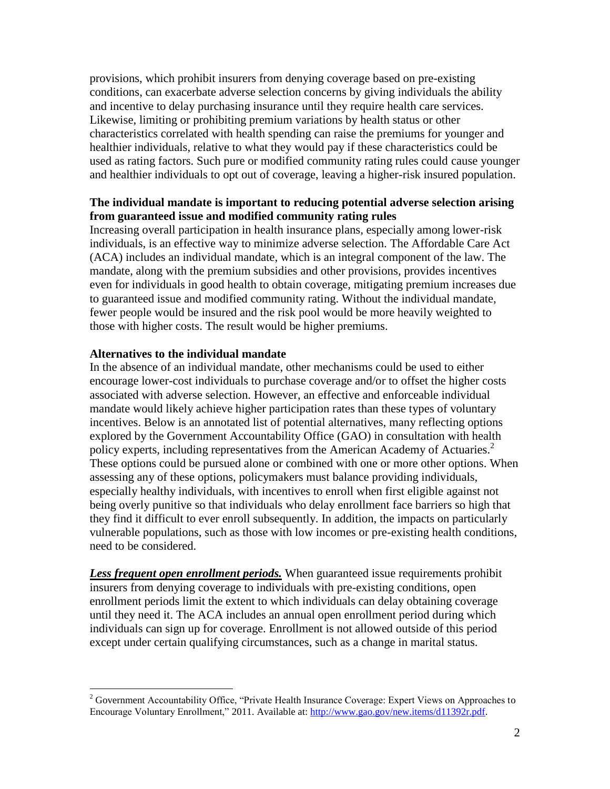provisions, which prohibit insurers from denying coverage based on pre-existing conditions, can exacerbate adverse selection concerns by giving individuals the ability and incentive to delay purchasing insurance until they require health care services. Likewise, limiting or prohibiting premium variations by health status or other characteristics correlated with health spending can raise the premiums for younger and healthier individuals, relative to what they would pay if these characteristics could be used as rating factors. Such pure or modified community rating rules could cause younger and healthier individuals to opt out of coverage, leaving a higher-risk insured population.

# **The individual mandate is important to reducing potential adverse selection arising from guaranteed issue and modified community rating rules**

Increasing overall participation in health insurance plans, especially among lower-risk individuals, is an effective way to minimize adverse selection. The Affordable Care Act (ACA) includes an individual mandate, which is an integral component of the law. The mandate, along with the premium subsidies and other provisions, provides incentives even for individuals in good health to obtain coverage, mitigating premium increases due to guaranteed issue and modified community rating. Without the individual mandate, fewer people would be insured and the risk pool would be more heavily weighted to those with higher costs. The result would be higher premiums.

#### **Alternatives to the individual mandate**

In the absence of an individual mandate, other mechanisms could be used to either encourage lower-cost individuals to purchase coverage and/or to offset the higher costs associated with adverse selection. However, an effective and enforceable individual mandate would likely achieve higher participation rates than these types of voluntary incentives. Below is an annotated list of potential alternatives, many reflecting options explored by the Government Accountability Office (GAO) in consultation with health policy experts, including representatives from the American Academy of Actuaries.<sup>2</sup> These options could be pursued alone or combined with one or more other options. When assessing any of these options, policymakers must balance providing individuals, especially healthy individuals, with incentives to enroll when first eligible against not being overly punitive so that individuals who delay enrollment face barriers so high that they find it difficult to ever enroll subsequently. In addition, the impacts on particularly vulnerable populations, such as those with low incomes or pre-existing health conditions, need to be considered.

*Less frequent open enrollment periods.* When guaranteed issue requirements prohibit insurers from denying coverage to individuals with pre-existing conditions, open enrollment periods limit the extent to which individuals can delay obtaining coverage until they need it. The ACA includes an annual open enrollment period during which individuals can sign up for coverage. Enrollment is not allowed outside of this period except under certain qualifying circumstances, such as a change in marital status.

 $\overline{a}$ <sup>2</sup> Government Accountability Office, "Private Health Insurance Coverage: Expert Views on Approaches to Encourage Voluntary Enrollment," 2011. Available at[: http://www.gao.gov/new.items/d11392r.pdf.](http://www.gao.gov/new.items/d11392r.pdf)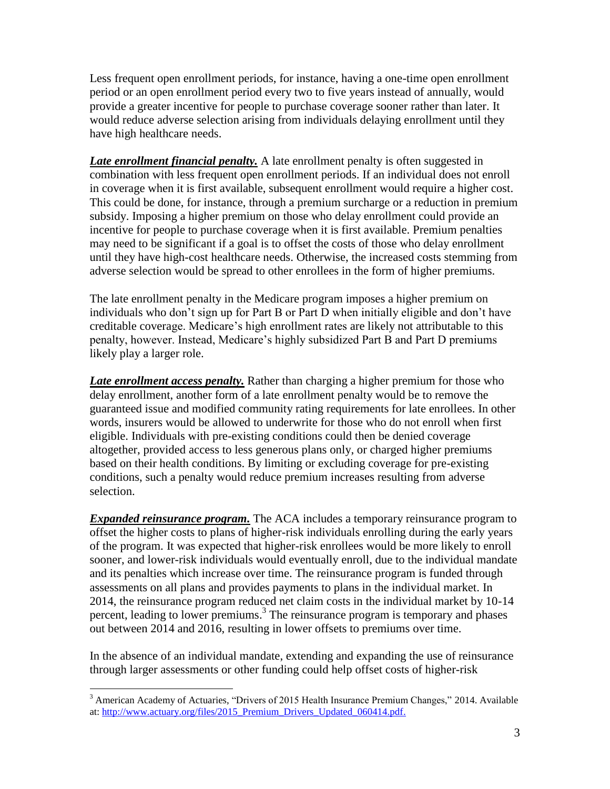Less frequent open enrollment periods, for instance, having a one-time open enrollment period or an open enrollment period every two to five years instead of annually, would provide a greater incentive for people to purchase coverage sooner rather than later. It would reduce adverse selection arising from individuals delaying enrollment until they have high healthcare needs.

*Late enrollment financial penalty.* A late enrollment penalty is often suggested in combination with less frequent open enrollment periods. If an individual does not enroll in coverage when it is first available, subsequent enrollment would require a higher cost. This could be done, for instance, through a premium surcharge or a reduction in premium subsidy. Imposing a higher premium on those who delay enrollment could provide an incentive for people to purchase coverage when it is first available. Premium penalties may need to be significant if a goal is to offset the costs of those who delay enrollment until they have high-cost healthcare needs. Otherwise, the increased costs stemming from adverse selection would be spread to other enrollees in the form of higher premiums.

The late enrollment penalty in the Medicare program imposes a higher premium on individuals who don't sign up for Part B or Part D when initially eligible and don't have creditable coverage. Medicare's high enrollment rates are likely not attributable to this penalty, however. Instead, Medicare's highly subsidized Part B and Part D premiums likely play a larger role.

*Late enrollment access penalty.* Rather than charging a higher premium for those who delay enrollment, another form of a late enrollment penalty would be to remove the guaranteed issue and modified community rating requirements for late enrollees. In other words, insurers would be allowed to underwrite for those who do not enroll when first eligible. Individuals with pre-existing conditions could then be denied coverage altogether, provided access to less generous plans only, or charged higher premiums based on their health conditions. By limiting or excluding coverage for pre-existing conditions, such a penalty would reduce premium increases resulting from adverse selection.

*Expanded reinsurance program.* The ACA includes a temporary reinsurance program to offset the higher costs to plans of higher-risk individuals enrolling during the early years of the program. It was expected that higher-risk enrollees would be more likely to enroll sooner, and lower-risk individuals would eventually enroll, due to the individual mandate and its penalties which increase over time. The reinsurance program is funded through assessments on all plans and provides payments to plans in the individual market. In 2014, the reinsurance program reduced net claim costs in the individual market by 10-14 percent, leading to lower premiums. 3 The reinsurance program is temporary and phases out between 2014 and 2016, resulting in lower offsets to premiums over time.

In the absence of an individual mandate, extending and expanding the use of reinsurance through larger assessments or other funding could help offset costs of higher-risk

 $\overline{a}$ 

 $3$  American Academy of Actuaries, "Drivers of 2015 Health Insurance Premium Changes," 2014. Available at: http://www.actuary.org/files/2015 Premium Drivers Updated 060414.pdf.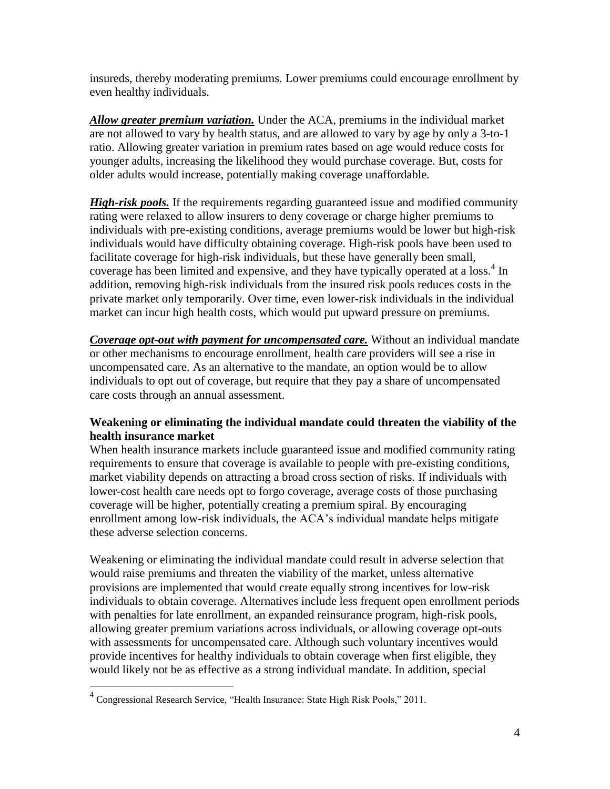insureds, thereby moderating premiums. Lower premiums could encourage enrollment by even healthy individuals.

*Allow greater premium variation.* Under the ACA, premiums in the individual market are not allowed to vary by health status, and are allowed to vary by age by only a 3-to-1 ratio. Allowing greater variation in premium rates based on age would reduce costs for younger adults, increasing the likelihood they would purchase coverage. But, costs for older adults would increase, potentially making coverage unaffordable.

*High-risk pools.* If the requirements regarding guaranteed issue and modified community rating were relaxed to allow insurers to deny coverage or charge higher premiums to individuals with pre-existing conditions, average premiums would be lower but high-risk individuals would have difficulty obtaining coverage. High-risk pools have been used to facilitate coverage for high-risk individuals, but these have generally been small, coverage has been limited and expensive, and they have typically operated at a loss.<sup>4</sup> In addition, removing high-risk individuals from the insured risk pools reduces costs in the private market only temporarily. Over time, even lower-risk individuals in the individual market can incur high health costs, which would put upward pressure on premiums.

*Coverage opt-out with payment for uncompensated care.* Without an individual mandate or other mechanisms to encourage enrollment, health care providers will see a rise in uncompensated care. As an alternative to the mandate, an option would be to allow individuals to opt out of coverage, but require that they pay a share of uncompensated care costs through an annual assessment.

# **Weakening or eliminating the individual mandate could threaten the viability of the health insurance market**

When health insurance markets include guaranteed issue and modified community rating requirements to ensure that coverage is available to people with pre-existing conditions, market viability depends on attracting a broad cross section of risks. If individuals with lower-cost health care needs opt to forgo coverage, average costs of those purchasing coverage will be higher, potentially creating a premium spiral. By encouraging enrollment among low-risk individuals, the ACA's individual mandate helps mitigate these adverse selection concerns.

Weakening or eliminating the individual mandate could result in adverse selection that would raise premiums and threaten the viability of the market, unless alternative provisions are implemented that would create equally strong incentives for low-risk individuals to obtain coverage. Alternatives include less frequent open enrollment periods with penalties for late enrollment, an expanded reinsurance program, high-risk pools, allowing greater premium variations across individuals, or allowing coverage opt-outs with assessments for uncompensated care. Although such voluntary incentives would provide incentives for healthy individuals to obtain coverage when first eligible, they would likely not be as effective as a strong individual mandate. In addition, special

 4 Congressional Research Service, "Health Insurance: State High Risk Pools," 2011.